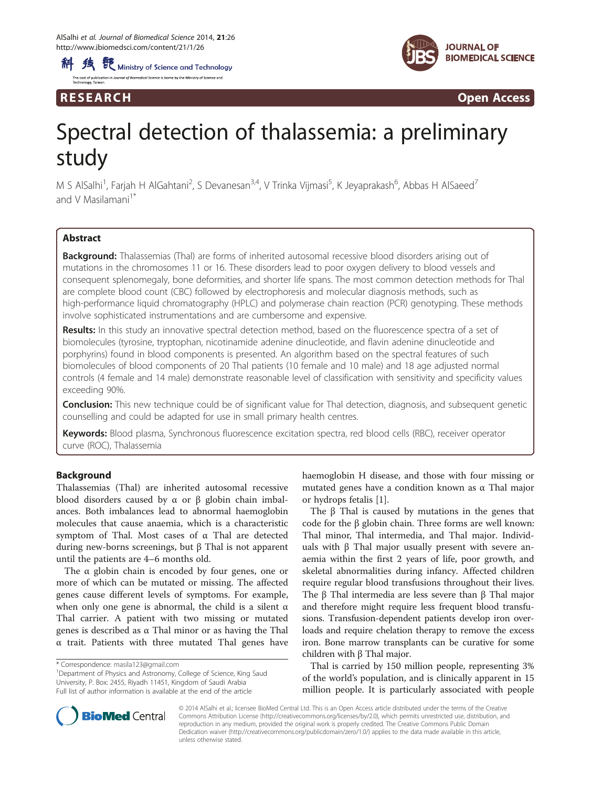科 线 <sup>骰</sup> Ministry of Science and Technology .<br>Lef Biomedical Coinnea is boyan butha Minister of Coinnea and



R E S EAR CH Open Access

# Spectral detection of thalassemia: a preliminary study

M S AlSalhi<sup>1</sup>, Farjah H AlGahtani<sup>2</sup>, S Devanesan<sup>3,4</sup>, V Trinka Vijmasi<sup>5</sup>, K Jeyaprakash<sup>6</sup>, Abbas H AlSaeed<sup>7</sup> and V Masilamani $1^*$ 

# Abstract

Background: Thalassemias (Thal) are forms of inherited autosomal recessive blood disorders arising out of mutations in the chromosomes 11 or 16. These disorders lead to poor oxygen delivery to blood vessels and consequent splenomegaly, bone deformities, and shorter life spans. The most common detection methods for Thal are complete blood count (CBC) followed by electrophoresis and molecular diagnosis methods, such as high-performance liquid chromatography (HPLC) and polymerase chain reaction (PCR) genotyping. These methods involve sophisticated instrumentations and are cumbersome and expensive.

Results: In this study an innovative spectral detection method, based on the fluorescence spectra of a set of biomolecules (tyrosine, tryptophan, nicotinamide adenine dinucleotide, and flavin adenine dinucleotide and porphyrins) found in blood components is presented. An algorithm based on the spectral features of such biomolecules of blood components of 20 Thal patients (10 female and 10 male) and 18 age adjusted normal controls (4 female and 14 male) demonstrate reasonable level of classification with sensitivity and specificity values exceeding 90%.

Conclusion: This new technique could be of significant value for Thal detection, diagnosis, and subsequent genetic counselling and could be adapted for use in small primary health centres.

Keywords: Blood plasma, Synchronous fluorescence excitation spectra, red blood cells (RBC), receiver operator curve (ROC), Thalassemia

# Background

Thalassemias (Thal) are inherited autosomal recessive blood disorders caused by  $\alpha$  or β globin chain imbalances. Both imbalances lead to abnormal haemoglobin molecules that cause anaemia, which is a characteristic symptom of Thal. Most cases of α Thal are detected during new-borns screenings, but β Thal is not apparent until the patients are 4–6 months old.

The  $\alpha$  globin chain is encoded by four genes, one or more of which can be mutated or missing. The affected genes cause different levels of symptoms. For example, when only one gene is abnormal, the child is a silent  $\alpha$ Thal carrier. A patient with two missing or mutated genes is described as α Thal minor or as having the Thal α trait. Patients with three mutated Thal genes have

<sup>1</sup>Department of Physics and Astronomy, College of Science, King Saud University, P. Box: 2455, Riyadh 11451, Kingdom of Saudi Arabia Full list of author information is available at the end of the article

haemoglobin H disease, and those with four missing or mutated genes have a condition known as α Thal major or hydrops fetalis [[1\]](#page-7-0).

The β Thal is caused by mutations in the genes that code for the β globin chain. Three forms are well known: Thal minor, Thal intermedia, and Thal major. Individuals with β Thal major usually present with severe anaemia within the first 2 years of life, poor growth, and skeletal abnormalities during infancy. Affected children require regular blood transfusions throughout their lives. The β Thal intermedia are less severe than β Thal major and therefore might require less frequent blood transfusions. Transfusion-dependent patients develop iron overloads and require chelation therapy to remove the excess iron. Bone marrow transplants can be curative for some children with β Thal major.

Thal is carried by 150 million people, representing 3% of the world's population, and is clinically apparent in 15 million people. It is particularly associated with people



© 2014 AlSalhi et al.; licensee BioMed Central Ltd. This is an Open Access article distributed under the terms of the Creative Commons Attribution License [\(http://creativecommons.org/licenses/by/2.0\)](http://creativecommons.org/licenses/by/2.0), which permits unrestricted use, distribution, and reproduction in any medium, provided the original work is properly credited. The Creative Commons Public Domain Dedication waiver [\(http://creativecommons.org/publicdomain/zero/1.0/](http://creativecommons.org/publicdomain/zero/1.0/)) applies to the data made available in this article, unless otherwise stated.

<sup>\*</sup> Correspondence: [masila123@gmail.com](mailto:masila123@gmail.com) <sup>1</sup>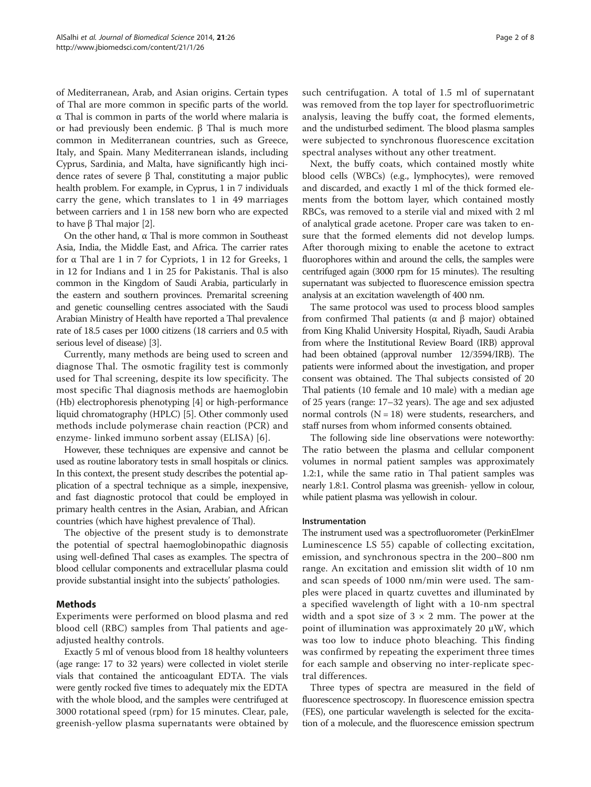of Mediterranean, Arab, and Asian origins. Certain types of Thal are more common in specific parts of the world. α Thal is common in parts of the world where malaria is or had previously been endemic. β Thal is much more common in Mediterranean countries, such as Greece, Italy, and Spain. Many Mediterranean islands, including Cyprus, Sardinia, and Malta, have significantly high incidence rates of severe β Thal, constituting a major public health problem. For example, in Cyprus, 1 in 7 individuals carry the gene, which translates to 1 in 49 marriages between carriers and 1 in 158 new born who are expected to have β Thal major [\[2\]](#page-7-0).

On the other hand, α Thal is more common in Southeast Asia, India, the Middle East, and Africa. The carrier rates for α Thal are 1 in 7 for Cypriots, 1 in 12 for Greeks, 1 in 12 for Indians and 1 in 25 for Pakistanis. Thal is also common in the Kingdom of Saudi Arabia, particularly in the eastern and southern provinces. Premarital screening and genetic counselling centres associated with the Saudi Arabian Ministry of Health have reported a Thal prevalence rate of 18.5 cases per 1000 citizens (18 carriers and 0.5 with serious level of disease) [\[3\]](#page-7-0).

Currently, many methods are being used to screen and diagnose Thal. The osmotic fragility test is commonly used for Thal screening, despite its low specificity. The most specific Thal diagnosis methods are haemoglobin (Hb) electrophoresis phenotyping [[4\]](#page-7-0) or high-performance liquid chromatography (HPLC) [[5](#page-7-0)]. Other commonly used methods include polymerase chain reaction (PCR) and enzyme- linked immuno sorbent assay (ELISA) [[6\]](#page-7-0).

However, these techniques are expensive and cannot be used as routine laboratory tests in small hospitals or clinics. In this context, the present study describes the potential application of a spectral technique as a simple, inexpensive, and fast diagnostic protocol that could be employed in primary health centres in the Asian, Arabian, and African countries (which have highest prevalence of Thal).

The objective of the present study is to demonstrate the potential of spectral haemoglobinopathic diagnosis using well-defined Thal cases as examples. The spectra of blood cellular components and extracellular plasma could provide substantial insight into the subjects' pathologies.

# Methods

Experiments were performed on blood plasma and red blood cell (RBC) samples from Thal patients and ageadjusted healthy controls.

Exactly 5 ml of venous blood from 18 healthy volunteers (age range: 17 to 32 years) were collected in violet sterile vials that contained the anticoagulant EDTA. The vials were gently rocked five times to adequately mix the EDTA with the whole blood, and the samples were centrifuged at 3000 rotational speed (rpm) for 15 minutes. Clear, pale, greenish-yellow plasma supernatants were obtained by

such centrifugation. A total of 1.5 ml of supernatant was removed from the top layer for spectrofluorimetric analysis, leaving the buffy coat, the formed elements, and the undisturbed sediment. The blood plasma samples were subjected to synchronous fluorescence excitation spectral analyses without any other treatment.

Next, the buffy coats, which contained mostly white blood cells (WBCs) (e.g., lymphocytes), were removed and discarded, and exactly 1 ml of the thick formed elements from the bottom layer, which contained mostly RBCs, was removed to a sterile vial and mixed with 2 ml of analytical grade acetone. Proper care was taken to ensure that the formed elements did not develop lumps. After thorough mixing to enable the acetone to extract fluorophores within and around the cells, the samples were centrifuged again (3000 rpm for 15 minutes). The resulting supernatant was subjected to fluorescence emission spectra analysis at an excitation wavelength of 400 nm.

The same protocol was used to process blood samples from confirmed Thal patients (α and β major) obtained from King Khalid University Hospital, Riyadh, Saudi Arabia from where the Institutional Review Board (IRB) approval had been obtained (approval number 12/3594/IRB). The patients were informed about the investigation, and proper consent was obtained. The Thal subjects consisted of 20 Thal patients (10 female and 10 male) with a median age of 25 years (range: 17–32 years). The age and sex adjusted normal controls  $(N = 18)$  were students, researchers, and staff nurses from whom informed consents obtained.

The following side line observations were noteworthy: The ratio between the plasma and cellular component volumes in normal patient samples was approximately 1.2:1, while the same ratio in Thal patient samples was nearly 1.8:1. Control plasma was greenish- yellow in colour, while patient plasma was yellowish in colour.

# Instrumentation

The instrument used was a spectrofluorometer (PerkinElmer Luminescence LS 55) capable of collecting excitation, emission, and synchronous spectra in the 200–800 nm range. An excitation and emission slit width of 10 nm and scan speeds of 1000 nm/min were used. The samples were placed in quartz cuvettes and illuminated by a specified wavelength of light with a 10-nm spectral width and a spot size of  $3 \times 2$  mm. The power at the point of illumination was approximately 20 μW, which was too low to induce photo bleaching. This finding was confirmed by repeating the experiment three times for each sample and observing no inter-replicate spectral differences.

Three types of spectra are measured in the field of fluorescence spectroscopy. In fluorescence emission spectra (FES), one particular wavelength is selected for the excitation of a molecule, and the fluorescence emission spectrum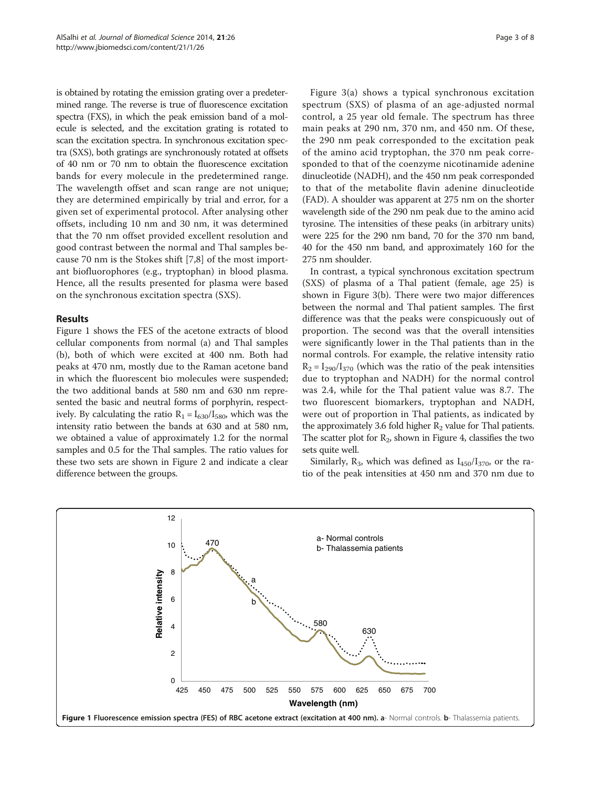<span id="page-2-0"></span>is obtained by rotating the emission grating over a predetermined range. The reverse is true of fluorescence excitation spectra (FXS), in which the peak emission band of a molecule is selected, and the excitation grating is rotated to scan the excitation spectra. In synchronous excitation spectra (SXS), both gratings are synchronously rotated at offsets of 40 nm or 70 nm to obtain the fluorescence excitation bands for every molecule in the predetermined range. The wavelength offset and scan range are not unique; they are determined empirically by trial and error, for a given set of experimental protocol. After analysing other offsets, including 10 nm and 30 nm, it was determined that the 70 nm offset provided excellent resolution and good contrast between the normal and Thal samples because 70 nm is the Stokes shift [\[7](#page-7-0),[8\]](#page-7-0) of the most important biofluorophores (e.g., tryptophan) in blood plasma. Hence, all the results presented for plasma were based on the synchronous excitation spectra (SXS).

# Results

Figure 1 shows the FES of the acetone extracts of blood cellular components from normal (a) and Thal samples (b), both of which were excited at 400 nm. Both had peaks at 470 nm, mostly due to the Raman acetone band in which the fluorescent bio molecules were suspended; the two additional bands at 580 nm and 630 nm represented the basic and neutral forms of porphyrin, respectively. By calculating the ratio  $R_1 = I_{630}/I_{580}$ , which was the intensity ratio between the bands at 630 and at 580 nm, we obtained a value of approximately 1.2 for the normal samples and 0.5 for the Thal samples. The ratio values for these two sets are shown in Figure [2](#page-3-0) and indicate a clear difference between the groups.

Figure [3\(](#page-3-0)a) shows a typical synchronous excitation spectrum (SXS) of plasma of an age-adjusted normal control, a 25 year old female. The spectrum has three main peaks at 290 nm, 370 nm, and 450 nm. Of these, the 290 nm peak corresponded to the excitation peak of the amino acid tryptophan, the 370 nm peak corresponded to that of the coenzyme nicotinamide adenine dinucleotide (NADH), and the 450 nm peak corresponded to that of the metabolite flavin adenine dinucleotide (FAD). A shoulder was apparent at 275 nm on the shorter wavelength side of the 290 nm peak due to the amino acid tyrosine. The intensities of these peaks (in arbitrary units) were 225 for the 290 nm band, 70 for the 370 nm band, 40 for the 450 nm band, and approximately 160 for the 275 nm shoulder.

In contrast, a typical synchronous excitation spectrum (SXS) of plasma of a Thal patient (female, age 25) is shown in Figure [3\(](#page-3-0)b). There were two major differences between the normal and Thal patient samples. The first difference was that the peaks were conspicuously out of proportion. The second was that the overall intensities were significantly lower in the Thal patients than in the normal controls. For example, the relative intensity ratio  $R_2 = I_{290}/I_{370}$  (which was the ratio of the peak intensities due to tryptophan and NADH) for the normal control was 2.4, while for the Thal patient value was 8.7. The two fluorescent biomarkers, tryptophan and NADH, were out of proportion in Thal patients, as indicated by the approximately 3.6 fold higher  $R_2$  value for Thal patients. The scatter plot for  $R<sub>2</sub>$ , shown in Figure [4](#page-4-0), classifies the two sets quite well.

Similarly,  $R_3$ , which was defined as  $I_{450}/I_{370}$ , or the ratio of the peak intensities at 450 nm and 370 nm due to

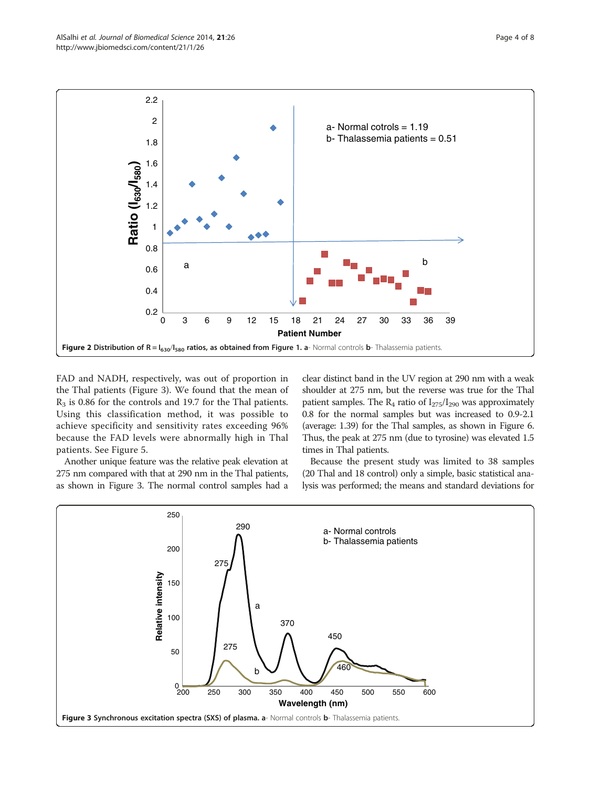FAD and NADH, respectively, was out of proportion in the Thal patients (Figure 3). We found that the mean of  $R<sub>3</sub>$  is 0.86 for the controls and 19.7 for the Thal patients. Using this classification method, it was possible to achieve specificity and sensitivity rates exceeding 96% because the FAD levels were abnormally high in Thal patients. See Figure [5](#page-4-0).

0.2

0.4

0.6

0.8

1

1.2

**Ratio (I630/I580)**

Ratio (I<sub>630</sub>/I<sub>580</sub>)

1.4

1.6

1.8

2

2.2

Another unique feature was the relative peak elevation at 275 nm compared with that at 290 nm in the Thal patients, as shown in Figure 3. The normal control samples had a clear distinct band in the UV region at 290 nm with a weak shoulder at 275 nm, but the reverse was true for the Thal patient samples. The  $R_4$  ratio of  $I_{275}/I_{290}$  was approximately 0.8 for the normal samples but was increased to 0.9-2.1 (average: 1.39) for the Thal samples, as shown in Figure [6](#page-5-0). Thus, the peak at 275 nm (due to tyrosine) was elevated 1.5 times in Thal patients.

a- Normal cotrols = 1.19  $b$ - Thalassemia patients =  $0.51$ 

Because the present study was limited to 38 samples (20 Thal and 18 control) only a simple, basic statistical analysis was performed; the means and standard deviations for



0 3 6 9 12 15 18 21 24 27 30 33 36 39

a b

**Patient Number**

Figure 2 Distribution of  $R = I_{630}/I_{580}$  ratios, as obtained from Figure [1](#page-2-0). a- Normal controls b- Thalassemia patients.

<span id="page-3-0"></span>

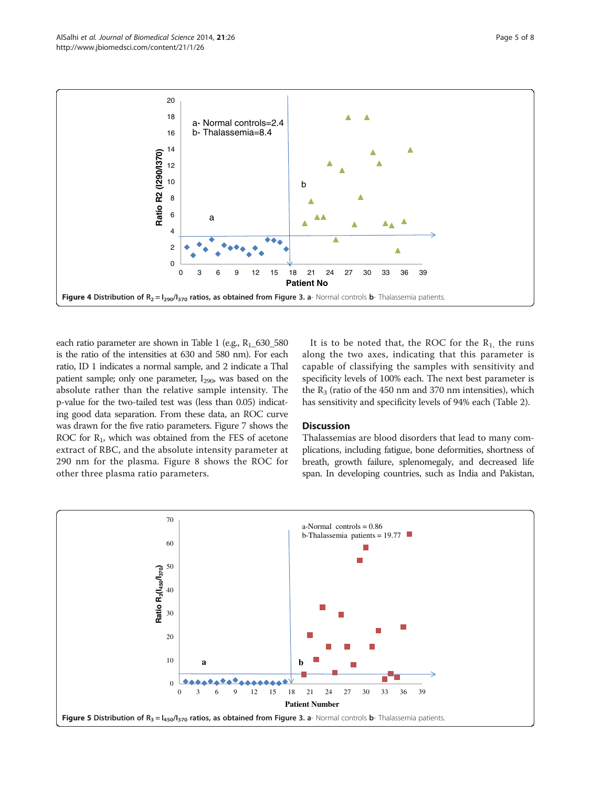<span id="page-4-0"></span>

each ratio parameter are shown in Table [1](#page-5-0) (e.g.,  $R_1$ \_630\_580 is the ratio of the intensities at 630 and 580 nm). For each ratio, ID 1 indicates a normal sample, and 2 indicate a Thal patient sample; only one parameter,  $I_{290}$ , was based on the absolute rather than the relative sample intensity. The p-value for the two-tailed test was (less than 0.05) indicating good data separation. From these data, an ROC curve was drawn for the five ratio parameters. Figure [7](#page-6-0) shows the ROC for  $R_1$ , which was obtained from the FES of acetone extract of RBC, and the absolute intensity parameter at 290 nm for the plasma. Figure [8](#page-6-0) shows the ROC for other three plasma ratio parameters.

It is to be noted that, the ROC for the  $R_1$ , the runs along the two axes, indicating that this parameter is capable of classifying the samples with sensitivity and specificity levels of 100% each. The next best parameter is the  $R_3$  (ratio of the 450 nm and 370 nm intensities), which has sensitivity and specificity levels of 94% each (Table [2](#page-7-0)).

# **Discussion**

Thalassemias are blood disorders that lead to many complications, including fatigue, bone deformities, shortness of breath, growth failure, splenomegaly, and decreased life span. In developing countries, such as India and Pakistan,

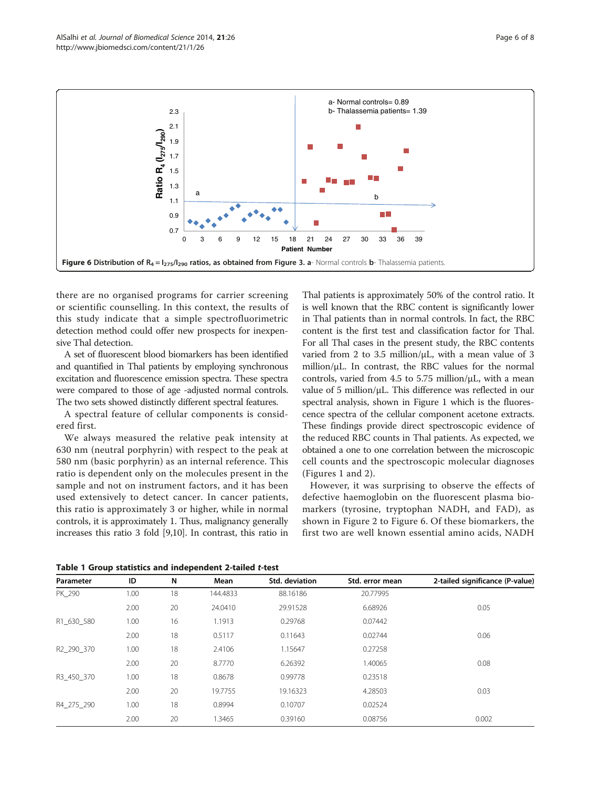<span id="page-5-0"></span>

there are no organised programs for carrier screening or scientific counselling. In this context, the results of this study indicate that a simple spectrofluorimetric detection method could offer new prospects for inexpensive Thal detection.

A set of fluorescent blood biomarkers has been identified and quantified in Thal patients by employing synchronous excitation and fluorescence emission spectra. These spectra were compared to those of age -adjusted normal controls. The two sets showed distinctly different spectral features.

A spectral feature of cellular components is considered first.

We always measured the relative peak intensity at 630 nm (neutral porphyrin) with respect to the peak at 580 nm (basic porphyrin) as an internal reference. This ratio is dependent only on the molecules present in the sample and not on instrument factors, and it has been used extensively to detect cancer. In cancer patients, this ratio is approximately 3 or higher, while in normal controls, it is approximately 1. Thus, malignancy generally increases this ratio 3 fold [[9,10](#page-7-0)]. In contrast, this ratio in Thal patients is approximately 50% of the control ratio. It is well known that the RBC content is significantly lower in Thal patients than in normal controls. In fact, the RBC content is the first test and classification factor for Thal. For all Thal cases in the present study, the RBC contents varied from 2 to 3.5 million/ $\mu$ L, with a mean value of 3 million/μL. In contrast, the RBC values for the normal controls, varied from 4.5 to 5.75 million/ $\mu$ L, with a mean value of 5 million/μL. This difference was reflected in our spectral analysis, shown in Figure [1](#page-2-0) which is the fluorescence spectra of the cellular component acetone extracts. These findings provide direct spectroscopic evidence of the reduced RBC counts in Thal patients. As expected, we obtained a one to one correlation between the microscopic cell counts and the spectroscopic molecular diagnoses (Figures [1](#page-2-0) and [2\)](#page-3-0).

However, it was surprising to observe the effects of defective haemoglobin on the fluorescent plasma biomarkers (tyrosine, tryptophan NADH, and FAD), as shown in Figure [2](#page-3-0) to Figure 6. Of these biomarkers, the first two are well known essential amino acids, NADH

|  | Table 1 Group statistics and independent 2-tailed t-test |  |  |  |  |
|--|----------------------------------------------------------|--|--|--|--|
|--|----------------------------------------------------------|--|--|--|--|

| Parameter  | ID   | N  | Mean     | Std. deviation | Std. error mean | 2-tailed significance (P-value) |
|------------|------|----|----------|----------------|-----------------|---------------------------------|
| PK 290     | 1.00 | 18 | 144.4833 | 88.16186       | 20.77995        |                                 |
|            | 2.00 | 20 | 24.0410  | 29.91528       | 6.68926         | 0.05                            |
| R1_630_580 | 1.00 | 16 | 1.1913   | 0.29768        | 0.07442         |                                 |
|            | 2.00 | 18 | 0.5117   | 0.11643        | 0.02744         | 0.06                            |
| R2 290 370 | 1.00 | 18 | 2.4106   | 1.15647        | 0.27258         |                                 |
|            | 2.00 | 20 | 8.7770   | 6.26392        | 1.40065         | 0.08                            |
| R3 450 370 | 1.00 | 18 | 0.8678   | 0.99778        | 0.23518         |                                 |
|            | 2.00 | 20 | 19.7755  | 19.16323       | 4.28503         | 0.03                            |
| R4 275 290 | 1.00 | 18 | 0.8994   | 0.10707        | 0.02524         |                                 |
|            | 2.00 | 20 | 1.3465   | 0.39160        | 0.08756         | 0.002                           |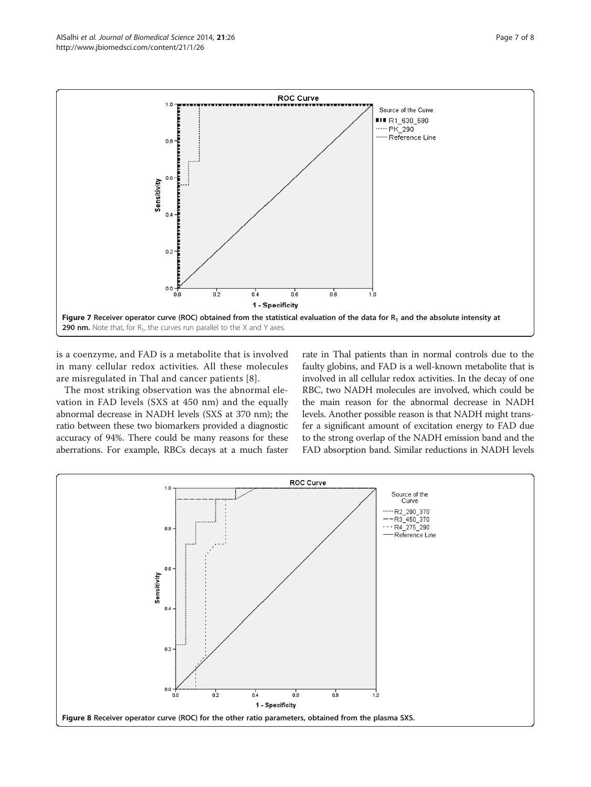<span id="page-6-0"></span>

is a coenzyme, and FAD is a metabolite that is involved in many cellular redox activities. All these molecules are misregulated in Thal and cancer patients [\[8](#page-7-0)].

The most striking observation was the abnormal elevation in FAD levels (SXS at 450 nm) and the equally abnormal decrease in NADH levels (SXS at 370 nm); the ratio between these two biomarkers provided a diagnostic accuracy of 94%. There could be many reasons for these aberrations. For example, RBCs decays at a much faster rate in Thal patients than in normal controls due to the faulty globins, and FAD is a well-known metabolite that is involved in all cellular redox activities. In the decay of one RBC, two NADH molecules are involved, which could be the main reason for the abnormal decrease in NADH levels. Another possible reason is that NADH might transfer a significant amount of excitation energy to FAD due to the strong overlap of the NADH emission band and the FAD absorption band. Similar reductions in NADH levels